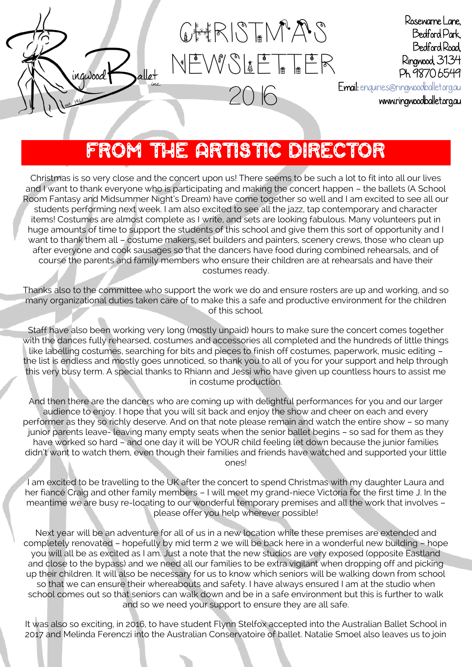

GHRISTMAS  $N$  $\frac{1}{2}$   $\frac{1}{2}$   $\frac{1}{2}$   $\frac{1}{2}$   $\frac{1}{2}$   $\frac{1}{2}$   $\frac{1}{2}$   $\frac{1}{2}$   $\frac{1}{2}$   $\frac{1}{2}$   $\frac{1}{2}$   $\frac{1}{2}$   $\frac{1}{2}$   $\frac{1}{2}$   $\frac{1}{2}$   $\frac{1}{2}$   $\frac{1}{2}$   $\frac{1}{2}$   $\frac{1}{2}$   $\frac{1}{2}$   $\frac{1}{2}$   $\frac{1}{2}$ 

2016

Rosewarne Lane, Bedford Park, Bedford Road, Ringwood, 3134 Ph. 9870 6549

Email: [enquiries@ringwoodballet.org.au](mailto:enquiries@ringwoodballet.org.au) 

www.ringwoodballet.org.au

# FROM THE ARTISTIC DIRECTOR

Christmas is so very close and the concert upon us! There seems to be such a lot to fit into all our lives and I want to thank everyone who is participating and making the concert happen – the ballets (A School Room Fantasy and Midsummer Night's Dream) have come together so well and I am excited to see all our students performing next week. I am also excited to see all the jazz, tap contemporary and character items! Costumes are almost complete as I write, and sets are looking fabulous. Many volunteers put in huge amounts of time to support the students of this school and give them this sort of opportunity and I want to thank them all – costume makers, set builders and painters, scenery crews, those who clean up after everyone and cook sausages so that the dancers have food during combined rehearsals, and of course the parents and family members who ensure their children are at rehearsals and have their costumes ready.

Thanks also to the committee who support the work we do and ensure rosters are up and working, and so many organizational duties taken care of to make this a safe and productive environment for the children of this school.

Staff have also been working very long (mostly unpaid) hours to make sure the concert comes together with the dances fully rehearsed, costumes and accessories all completed and the hundreds of little things like labelling costumes, searching for bits and pieces to finish off costumes, paperwork, music editing – the list is endless and mostly goes unnoticed, so thank you to all of you for your support and help through this very busy term. A special thanks to Rhiann and Jessi who have given up countless hours to assist me in costume production.

And then there are the dancers who are coming up with delightful performances for you and our larger audience to enjoy. I hope that you will sit back and enjoy the show and cheer on each and every performer as they so richly deserve. And on that note please remain and watch the entire show – so many junior parents leave- leaving many empty seats when the senior ballet begins – so sad for them as they have worked so hard – and one day it will be YOUR child feeling let down because the junior families didn't want to watch them, even though their families and friends have watched and supported your little ones!

I am excited to be travelling to the UK after the concert to spend Christmas with my daughter Laura and her fiancé Craig and other family members – I will meet my grand-niece Victoria for the first time J. In the meantime we are busy re-locating to our wonderful temporary premises and all the work that involves – please offer you help wherever possible!

Next year will be an adventure for all of us in a new location while these premises are extended and completely renovated – hopefully by mid term 2 we will be back here in a wonderful new building – hope you will all be as excited as I am. Just a note that the new studios are very exposed (opposite Eastland and close to the bypass) and we need all our families to be extra vigilant when dropping off and picking up their children. It will also be necessary for us to know which seniors will be walking down from school so that we can ensure their whereabouts and safety. I have always ensured I am at the studio when school comes out so that seniors can walk down and be in a safe environment but this is further to walk and so we need your support to ensure they are all safe.

It was also so exciting, in 2016, to have student Flynn Stelfox accepted into the Australian Ballet School in 2017 and Melinda Ferenczi into the Australian Conservatoire of ballet. Natalie Smoel also leaves us to join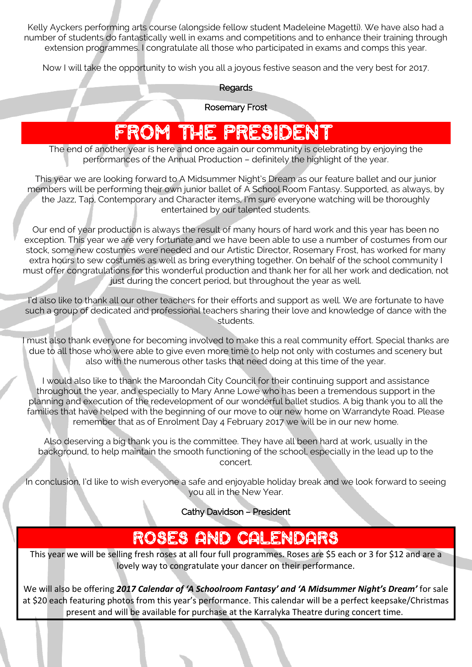Kelly Ayckers performing arts course (alongside fellow student Madeleine Magetti). We have also had a number of students do fantastically well in exams and competitions and to enhance their training through extension programmes. I congratulate all those who participated in exams and comps this year.

Now I will take the opportunity to wish you all a joyous festive season and the very best for 2017.

#### Regards

Rosemary Frost

# FROM THE PRESIDENT

The end of another year is here and once again our community is celebrating by enjoying the performances of the Annual Production – definitely the highlight of the year.

This year we are looking forward to A Midsummer Night's Dream as our feature ballet and our junior members will be performing their own junior ballet of A School Room Fantasy. Supported, as always, by the Jazz, Tap, Contemporary and Character items, I'm sure everyone watching will be thoroughly entertained by our talented students.

Our end of year production is always the result of many hours of hard work and this year has been no exception. This year we are very fortunate and we have been able to use a number of costumes from our stock, some new costumes were needed and our Artistic Director, Rosemary Frost, has worked for many extra hours to sew costumes as well as bring everything together. On behalf of the school community I must offer congratulations for this wonderful production and thank her for all her work and dedication, not just during the concert period, but throughout the year as well.

I'd also like to thank all our other teachers for their efforts and support as well. We are fortunate to have such a group of dedicated and professional teachers sharing their love and knowledge of dance with the students.

must also thank everyone for becoming involved to make this a real community effort. Special thanks are due to all those who were able to give even more time to help not only with costumes and scenery but also with the numerous other tasks that need doing at this time of the year.

I would also like to thank the Maroondah City Council for their continuing support and assistance throughout the year, and especially to Mary Anne Lowe who has been a tremendous support in the planning and execution of the redevelopment of our wonderful ballet studios. A big thank you to all the families that have helped with the beginning of our move to our new home on Warrandyte Road. Please remember that as of Enrolment Day 4 February 2017 we will be in our new home.

Also deserving a big thank you is the committee. They have all been hard at work, usually in the background, to help maintain the smooth functioning of the school, especially in the lead up to the concert.

In conclusion, I'd like to wish everyone a safe and enjoyable holiday break and we look forward to seeing you all in the New Year.

Cathy Davidson – President

### ROSES AND CALENDARS

This year we will be selling fresh roses at all four full programmes. Roses are \$5 each or 3 for \$12 and are a lovely way to congratulate your dancer on their performance.

We will also be offering *2017 Calendar of 'A Schoolroom Fantasy' and 'A Midsummer Night's Dream'* for sale at \$20 each featuring photos from this year's performance. This calendar will be a perfect keepsake/Christmas present and will be available for purchase at the Karralyka Theatre during concert time.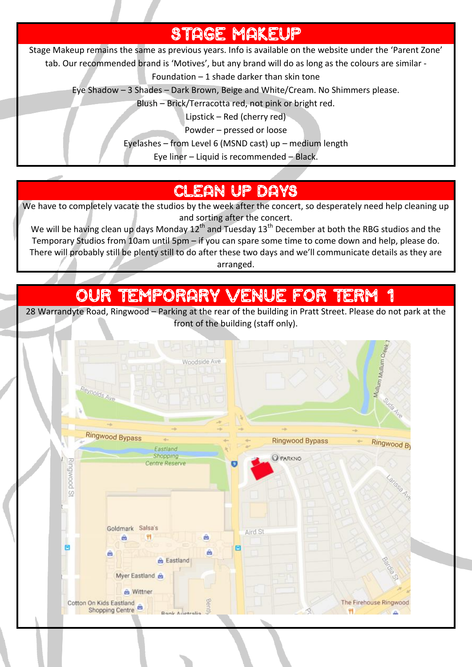## STAGE MAKEUP

Stage Makeup remains the same as previous years. Info is available on the website under the 'Parent Zone'

tab. Our recommended brand is 'Motives', but any brand will do as long as the colours are similar -

Foundation – 1 shade darker than skin tone

Eye Shadow – 3 Shades – Dark Brown, Beige and White/Cream. No Shimmers please.

Blush – Brick/Terracotta red, not pink or bright red.

Lipstick – Red (cherry red)

Powder – pressed or loose

Eyelashes – from Level 6 (MSND cast) up – medium length

Eye liner – Liquid is recommended – Black.

### LEAN UP DAYS

We have to completely vacate the studios by the week after the concert, so desperately need help cleaning up and sorting after the concert.

We will be having clean up days Monday  $12^{th}$  and Tuesday  $13^{th}$  December at both the RBG studios and the Temporary Studios from 10am until 5pm – if you can spare some time to come down and help, please do. There will probably still be plenty still to do after these two days and we'll communicate details as they are arranged.

## OUR TEMPORARY VENUE FOR TERM 1

28 Warrandyte Road, Ringwood – Parking at the rear of the building in Pratt Street. Please do not park at the front of the building (staff only).

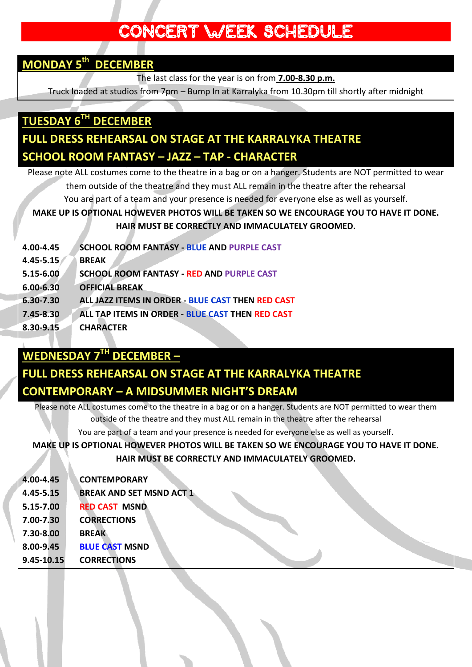### CONCERT WEEK SCHEDULE

### **MONDAY 5 th DECEMBER**

The last class for the year is on from **7.00-8.30 p.m.**

Truck loaded at studios from 7pm – Bump In at Karralyka from 10.30pm till shortly after midnight

### **TUESDAY 6TH DECEMBER FULL DRESS REHEARSAL ON STAGE AT THE KARRALYKA THEATRE SCHOOL ROOM FANTASY – JAZZ – TAP - CHARACTER**

Please note ALL costumes come to the theatre in a bag or on a hanger. Students are NOT permitted to wear them outside of the theatre and they must ALL remain in the theatre after the rehearsal You are part of a team and your presence is needed for everyone else as well as yourself. **MAKE UP IS OPTIONAL HOWEVER PHOTOS WILL BE TAKEN SO WE ENCOURAGE YOU TO HAVE IT DONE. HAIR MUST BE CORRECTLY AND IMMACULATELY GROOMED.**

| 4.00-4.45     | <b>SCHOOL ROOM FANTASY - BLUE AND PURPLE CAST</b> |
|---------------|---------------------------------------------------|
| 4.45-5.15     | <b>BREAK</b>                                      |
| 5.15-6.00     | <b>SCHOOL ROOM FANTASY - RED AND PURPLE CAST</b>  |
| $6.00 - 6.30$ | <b>OFFICIAL BREAK</b>                             |
| 6.30-7.30     | ALL JAZZ ITEMS IN ORDER - BLUE CAST THEN RED CAST |
| 7.45-8.30     | ALL TAP ITEMS IN ORDER - BLUE CAST THEN RED CAST  |
| 8.30-9.15     | <b>CHARACTER</b>                                  |

### **WEDNESDAY 7 TH DECEMBER –**

### **FULL DRESS REHEARSAL ON STAGE AT THE KARRALYKA THEATRE CONTEMPORARY – A MIDSUMMER NIGHT'S DREAM**

Please note ALL costumes come to the theatre in a bag or on a hanger. Students are NOT permitted to wear them outside of the theatre and they must ALL remain in the theatre after the rehearsal

You are part of a team and your presence is needed for everyone else as well as yourself.

**MAKE UP IS OPTIONAL HOWEVER PHOTOS WILL BE TAKEN SO WE ENCOURAGE YOU TO HAVE IT DONE. HAIR MUST BE CORRECTLY AND IMMACULATELY GROOMED.**

| 4.00-4.45  | <b>CONTEMPORARY</b>             |
|------------|---------------------------------|
| 4.45-5.15  | <b>BREAK AND SET MSND ACT 1</b> |
| 5.15-7.00  | <b>RED CAST MSND</b>            |
| 7.00-7.30  | <b>CORRECTIONS</b>              |
| 7.30-8.00  | <b>BREAK</b>                    |
| 8.00-9.45  | <b>BLUE CAST MSND</b>           |
| 9.45-10.15 | <b>CORRECTIONS</b>              |
|            |                                 |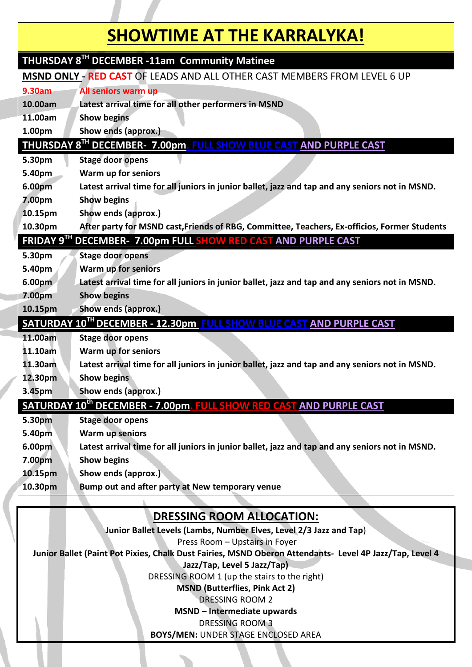## **SHOWTIME AT THE KARRALYKA!**

|                                                                                 | THURSDAY 8 <sup>TH</sup> DECEMBER -11am Community Matinee                                       |  |
|---------------------------------------------------------------------------------|-------------------------------------------------------------------------------------------------|--|
| <b>MSND ONLY - RED CAST OF LEADS AND ALL OTHER CAST MEMBERS FROM LEVEL 6 UP</b> |                                                                                                 |  |
| 9.30am                                                                          | All seniors warm up                                                                             |  |
| 10.00am                                                                         | Latest arrival time for all other performers in MSND                                            |  |
| 11.00am                                                                         | <b>Show begins</b>                                                                              |  |
| 1.00pm                                                                          | Show ends (approx.)                                                                             |  |
|                                                                                 | <b>THURSDAY 8<sup>TH</sup> DECEMBER- 7.00pm. FULL SHOW BLUE CAST AND PURPLE CAST</b>            |  |
| 5.30pm                                                                          | <b>Stage door opens</b>                                                                         |  |
| 5.40pm                                                                          | Warm up for seniors                                                                             |  |
| 6.00pm                                                                          | Latest arrival time for all juniors in junior ballet, jazz and tap and any seniors not in MSND. |  |
| 7.00pm                                                                          | <b>Show begins</b>                                                                              |  |
| 10.15pm                                                                         | Show ends (approx.)                                                                             |  |
| 10.30pm                                                                         | After party for MSND cast, Friends of RBG, Committee, Teachers, Ex-officios, Former Students    |  |
|                                                                                 | FRIDAY 9 <sup>TH</sup> DECEMBER- 7.00pm FULL SHOW RED CAST AND PURPLE CAST                      |  |
| 5.30pm                                                                          | <b>Stage door opens</b>                                                                         |  |
| 5.40pm                                                                          | Warm up for seniors                                                                             |  |
| 6.00pm                                                                          | Latest arrival time for all juniors in junior ballet, jazz and tap and any seniors not in MSND. |  |
| 7.00pm                                                                          | <b>Show begins</b>                                                                              |  |
| 10.15pm                                                                         | Show ends (approx.)                                                                             |  |
|                                                                                 | SATURDAY 10 <sup>TH</sup> DECEMBER - 12.30pm FULL SHOW BLUE CAST AND PURPLE CAST                |  |
| 11.00am                                                                         | <b>Stage door opens</b>                                                                         |  |
| 11.10am                                                                         | Warm up for seniors                                                                             |  |
| 11.30am                                                                         | Latest arrival time for all juniors in junior ballet, jazz and tap and any seniors not in MSND. |  |
| 12.30pm                                                                         | <b>Show begins</b>                                                                              |  |
| 3.45pm                                                                          | Show ends (approx.)                                                                             |  |
|                                                                                 | SATURDAY 10 <sup>th</sup> DECEMBER - 7.00pm. FULL SHOW RED CAST AND PURPLE CAST                 |  |
| 5.30pm                                                                          | <b>Stage door opens</b>                                                                         |  |
| 5.40pm                                                                          | Warm up seniors                                                                                 |  |
| 6.00 <sub>pm</sub>                                                              | Latest arrival time for all juniors in junior ballet, jazz and tap and any seniors not in MSND. |  |
| 7.00pm                                                                          | <b>Show begins</b>                                                                              |  |
| 10.15pm                                                                         | Show ends (approx.)                                                                             |  |
| 10.30pm                                                                         | Bump out and after party at New temporary venue                                                 |  |
|                                                                                 |                                                                                                 |  |
|                                                                                 | <b>DRESSING ROOM ALLOCATION:</b>                                                                |  |

**Junior Ballet Levels (Lambs, Number Elves, Level 2/3 Jazz and Tap**)

Press Room – Upstairs in Foyer

**Junior Ballet (Paint Pot Pixies, Chalk Dust Fairies, MSND Oberon Attendants- Level 4P Jazz/Tap, Level 4** 

**Jazz/Tap, Level 5 Jazz/Tap)**

DRESSING ROOM 1 (up the stairs to the right)

**MSND (Butterflies, Pink Act 2)**

DRESSING ROOM 2

**MSND – Intermediate upwards**

DRESSING ROOM 3

**BOYS/MEN:** UNDER STAGE ENCLOSED AREA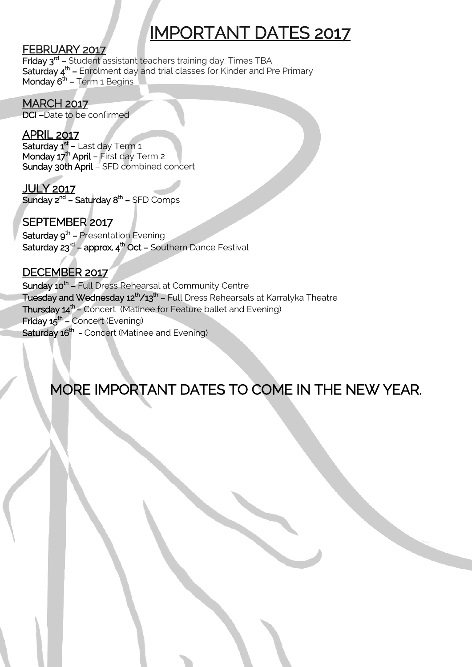# IMPORTANT DATES 2017

#### FEBRUARY 2017

Friday 3<sup>rd</sup> – Student assistant teachers training day. Times TBA **Saturday 4<sup>th</sup> –** Enrolment day and trial classes for Kinder and Pre Primary Monday  $6<sup>th</sup>$  – Term 1 Begins

**MARCH 2017** DCI –Date to be confirmed

APRIL 2017 **Saturday 1<sup>st</sup> –** Last day Term 1 Monday 17<sup>th</sup> April - First day Term 2 Sunday 30th April – SFD combined concert

JULY 2017 **Sunday 2<sup>nd</sup> – Saturday 8<sup>th</sup> –** SFD Comps

SEPTEMBER 2017 **Saturday 9<sup>th</sup> –** Presentation Evening **Saturday 23<sup>rd</sup> – approx. 4<sup>th</sup> Oct –** Southern Dance Festival

DECEMBER 2017 **Sunday 10<sup>th</sup> –** Full Dress Rehearsal at Community Centre **Tuesday and Wednesday 12<sup>th</sup>/13<sup>th</sup> – Full Dress Rehearsals at Karralyka Theatre** Thursday 14<sup>th</sup> – Concert (Matinee for Feature ballet and Evening) Friday 15<sup>th</sup> – Concert (Evening) **Saturday 16<sup>th</sup> -** Concert (Matinee and Evening)

## MORE IMPORTANT DATES TO COME IN THE NEW YEAR.